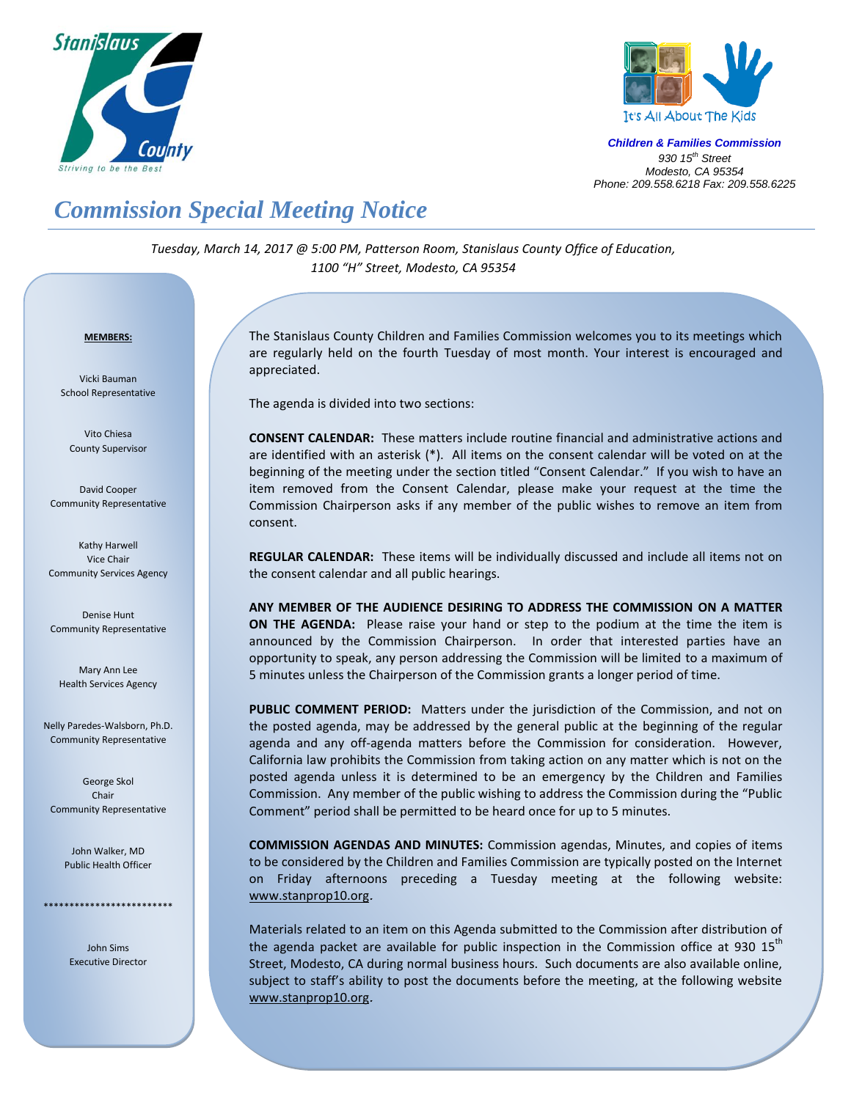



*Children & Families Commission 930 15 th Street Modesto, CA 95354 Phone: 209.558.6218 Fax: 209.558.6225*

## *Commission Special Meeting Notice*

*Tuesday, March 14, 2017 @ 5:00 PM, Patterson Room, Stanislaus County Office of Education, 1100 "H" Street, Modesto, CA 95354*

## *<sup>U</sup>***MEMBERS:**

Vicki Bauman School Representative

Vito Chiesa County Supervisor

David Cooper Community Representative

Kathy Harwell Vice Chair Community Services Agency

Denise Hunt Community Representative

Mary Ann Lee Health Services Agency

Nelly Paredes-Walsborn, Ph.D. Community Representative

George Skol Chair Community Representative

> John Walker, MD Public Health Officer

\*\*\*\*\*\*\*\*\*\*\*\*\*\*\*\*\*\*\*\*\*\*\*\*\*

John Sims Executive Director The Stanislaus County Children and Families Commission welcomes you to its meetings which are regularly held on the fourth Tuesday of most month. Your interest is encouraged and appreciated.

The agenda is divided into two sections:

**CONSENT CALENDAR:** These matters include routine financial and administrative actions and are identified with an asterisk (\*). All items on the consent calendar will be voted on at the beginning of the meeting under the section titled "Consent Calendar." If you wish to have an item removed from the Consent Calendar, please make your request at the time the Commission Chairperson asks if any member of the public wishes to remove an item from consent.

**REGULAR CALENDAR:** These items will be individually discussed and include all items not on the consent calendar and all public hearings.

**ANY MEMBER OF THE AUDIENCE DESIRING TO ADDRESS THE COMMISSION ON A MATTER ON THE AGENDA:** Please raise your hand or step to the podium at the time the item is announced by the Commission Chairperson. In order that interested parties have an opportunity to speak, any person addressing the Commission will be limited to a maximum of 5 minutes unless the Chairperson of the Commission grants a longer period of time.

**PUBLIC COMMENT PERIOD:** Matters under the jurisdiction of the Commission, and not on the posted agenda, may be addressed by the general public at the beginning of the regular agenda and any off-agenda matters before the Commission for consideration. However, California law prohibits the Commission from taking action on any matter which is not on the posted agenda unless it is determined to be an emergency by the Children and Families Commission. Any member of the public wishing to address the Commission during the "Public Comment" period shall be permitted to be heard once for up to 5 minutes.

**COMMISSION AGENDAS AND MINUTES:** Commission agendas, Minutes, and copies of items to be considered by the Children and Families Commission are typically posted on the Internet on Friday afternoons preceding a Tuesday meeting at the following website: [www.stanprop10.org](http://www.stanprop10.org/).

Materials related to an item on this Agenda submitted to the Commission after distribution of the agenda packet are available for public inspection in the Commission office at 930 15<sup>th</sup> Street, Modesto, CA during normal business hours. Such documents are also available online, subject to staff's ability to post the documents before the meeting, at the following website [www.stanprop10.org](http://www.stanprop10.org/).